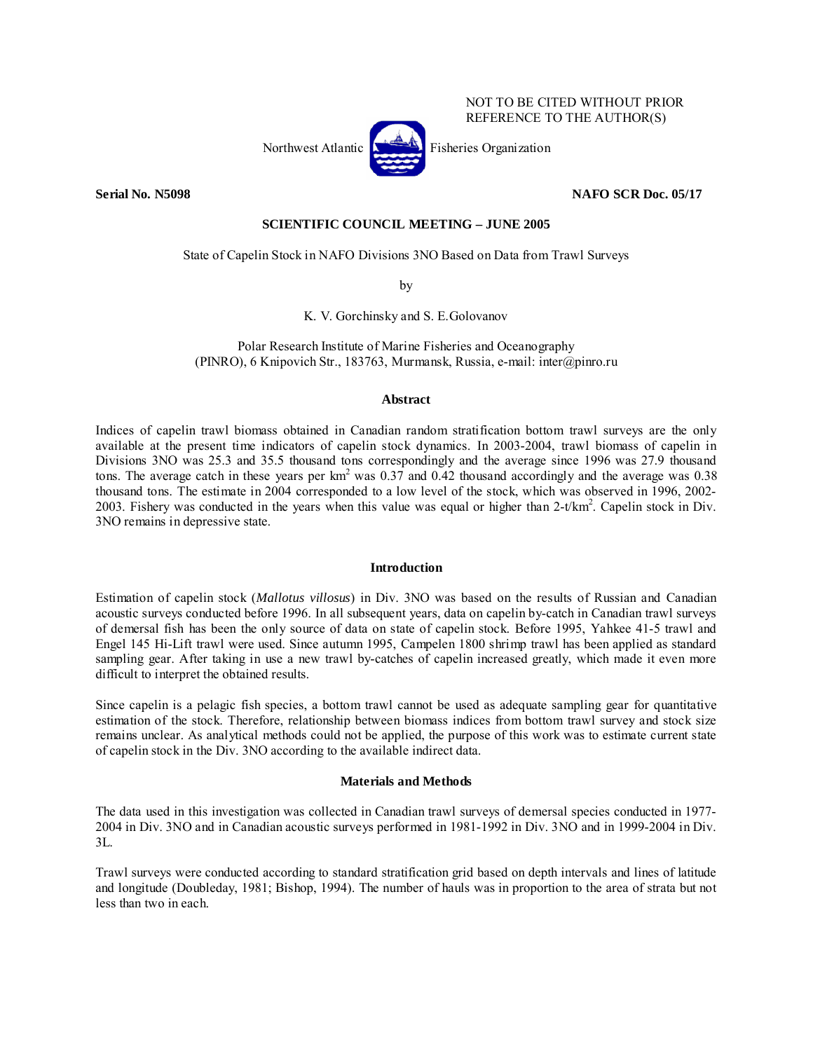## NOT TO BE CITED WITHOUT PRIOR REFERENCE TO THE AUTHOR(S)

**Serial No. N5098 NAFO SCR Doc. 05/17** 

## **SCIENTIFIC COUNCIL MEETING – JUNE 2005**

# State of Capelin Stock in NAFO Divisions 3NO Based on Data from Trawl Surveys

by

K. V. Gorchinsky and S. E.Golovanov

Polar Research Institute of Marine Fisheries and Oceanography (PINRO), 6 Knipovich Str., 183763, Murmansk, Russia, e-mail: inter@pinro.ru

# **Abstract**

Indices of capelin trawl biomass obtained in Canadian random stratification bottom trawl surveys are the only available at the present time indicators of capelin stock dynamics. In 2003-2004, trawl biomass of capelin in Divisions 3NO was 25.3 and 35.5 thousand tons correspondingly and the average since 1996 was 27.9 thousand tons. The average catch in these years per  $km^2$  was 0.37 and 0.42 thousand accordingly and the average was 0.38 thousand tons. The estimate in 2004 corresponded to a low level of the stock, which was observed in 1996, 2002- 2003. Fishery was conducted in the years when this value was equal or higher than  $2-t/km^2$ . Capelin stock in Div. 3NO remains in depressive state.

# **Introduction**

Estimation of capelin stock (*Mallotus villosus*) in Div. 3NO was based on the results of Russian and Canadian acoustic surveys conducted before 1996. In all subsequent years, data on capelin by-catch in Canadian trawl surveys of demersal fish has been the only source of data on state of capelin stock. Before 1995, Yahkee 41-5 trawl and Engel 145 Hi-Lift trawl were used. Since autumn 1995, Campelen 1800 shrimp trawl has been applied as standard sampling gear. After taking in use a new trawl by-catches of capelin increased greatly, which made it even more difficult to interpret the obtained results.

Since capelin is a pelagic fish species, a bottom trawl cannot be used as adequate sampling gear for quantitative estimation of the stock. Therefore, relationship between biomass indices from bottom trawl survey and stock size remains unclear. As analytical methods could not be applied, the purpose of this work was to estimate current state of capelin stock in the Div. 3NO according to the available indirect data.

# **Materials and Methods**

The data used in this investigation was collected in Canadian trawl surveys of demersal species conducted in 1977- 2004 in Div. 3NO and in Canadian acoustic surveys performed in 1981-1992 in Div. 3NO and in 1999-2004 in Div. 3L.

Trawl surveys were conducted according to standard stratification grid based on depth intervals and lines of latitude and longitude (Doubleday, 1981; Bishop, 1994). The number of hauls was in proportion to the area of strata but not less than two in each.

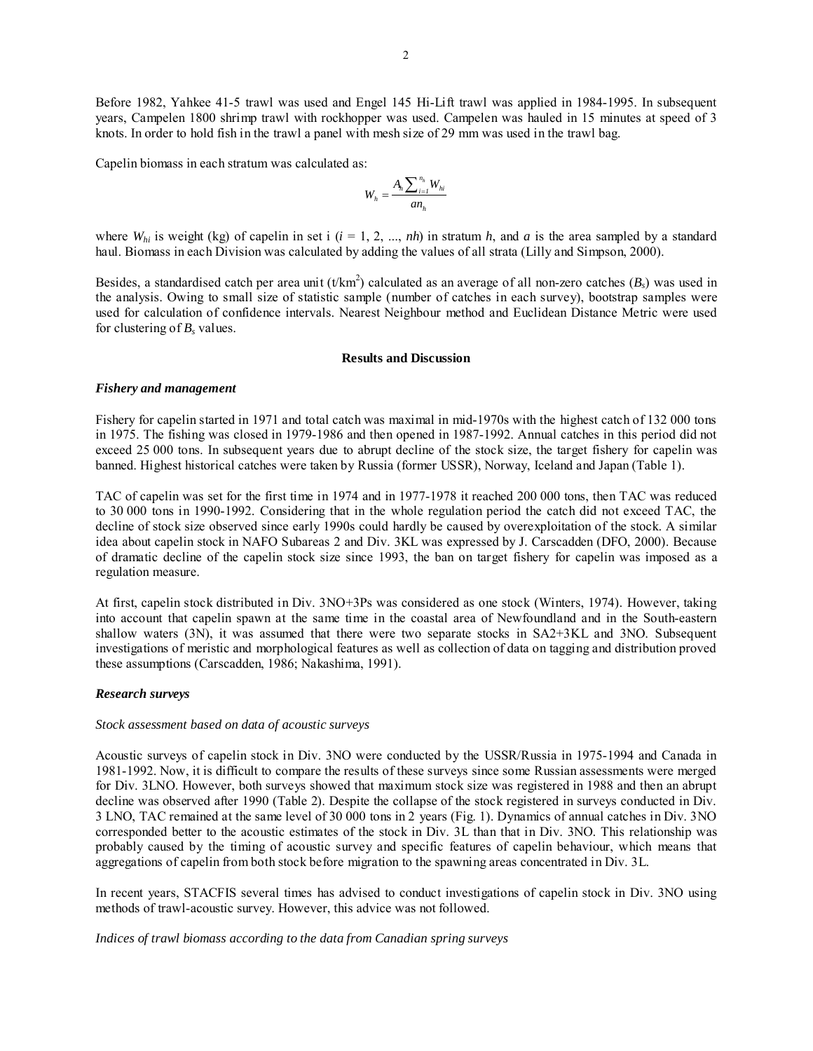Before 1982, Yahkee 41-5 trawl was used and Engel 145 Hi-Lift trawl was applied in 1984-1995. In subsequent years, Campelen 1800 shrimp trawl with rockhopper was used. Campelen was hauled in 15 minutes at speed of 3 knots. In order to hold fish in the trawl a panel with mesh size of 29 mm was used in the trawl bag.

Capelin biomass in each stratum was calculated as:

$$
W_h = \frac{A_h \sum_{i=1}^{n_h} W_{hi}}{a n_h}
$$

where  $W_{hi}$  is weight (kg) of capelin in set i ( $i = 1, 2, ..., nh$ ) in stratum  $h$ , and  $a$  is the area sampled by a standard haul. Biomass in each Division was calculated by adding the values of all strata (Lilly and Simpson, 2000).

Besides, a standardised catch per area unit  $(t/km^2)$  calculated as an average of all non-zero catches  $(B_s)$  was used in the analysis. Owing to small size of statistic sample (number of catches in each survey), bootstrap samples were used for calculation of confidence intervals. Nearest Neighbour method and Euclidean Distance Metric were used for clustering of  $B_s$  values.

### **Results and Discussion**

#### *Fishery and management*

Fishery for capelin started in 1971 and total catch was maximal in mid-1970s with the highest catch of 132 000 tons in 1975. The fishing was closed in 1979-1986 and then opened in 1987-1992. Annual catches in this period did not exceed 25 000 tons. In subsequent years due to abrupt decline of the stock size, the target fishery for capelin was banned. Highest historical catches were taken by Russia (former USSR), Norway, Iceland and Japan (Table 1).

TAC of capelin was set for the first time in 1974 and in 1977-1978 it reached 200 000 tons, then TAC was reduced to 30 000 tons in 1990-1992. Considering that in the whole regulation period the catch did not exceed TAC, the decline of stock size observed since early 1990s could hardly be caused by overexploitation of the stock. A similar idea about capelin stock in NAFO Subareas 2 and Div. 3KL was expressed by J. Carscadden (DFO, 2000). Because of dramatic decline of the capelin stock size since 1993, the ban on target fishery for capelin was imposed as a regulation measure.

At first, capelin stock distributed in Div. 3NO+3Ps was considered as one stock (Winters, 1974). However, taking into account that capelin spawn at the same time in the coastal area of Newfoundland and in the South-eastern shallow waters (3N), it was assumed that there were two separate stocks in SA2+3KL and 3NO. Subsequent investigations of meristic and morphological features as well as collection of data on tagging and distribution proved these assumptions (Carscadden, 1986; Nakashima, 1991).

### *Research surveys*

#### *Stock assessment based on data of acoustic surveys*

Acoustic surveys of capelin stock in Div. 3NO were conducted by the USSR/Russia in 1975-1994 and Canada in 1981-1992. Now, it is difficult to compare the results of these surveys since some Russian assessments were merged for Div. 3LNO. However, both surveys showed that maximum stock size was registered in 1988 and then an abrupt decline was observed after 1990 (Table 2). Despite the collapse of the stock registered in surveys conducted in Div. 3 LNO, TAC remained at the same level of 30 000 tons in 2 years (Fig. 1). Dynamics of annual catches in Div. 3NO corresponded better to the acoustic estimates of the stock in Div. 3L than that in Div. 3NO. This relationship was probably caused by the timing of acoustic survey and specific features of capelin behaviour, which means that aggregations of capelin from both stock before migration to the spawning areas concentrated in Div. 3L.

In recent years, STACFIS several times has advised to conduct investigations of capelin stock in Div. 3NO using methods of trawl-acoustic survey. However, this advice was not followed.

#### *Indices of trawl biomass according to the data from Canadian spring surveys*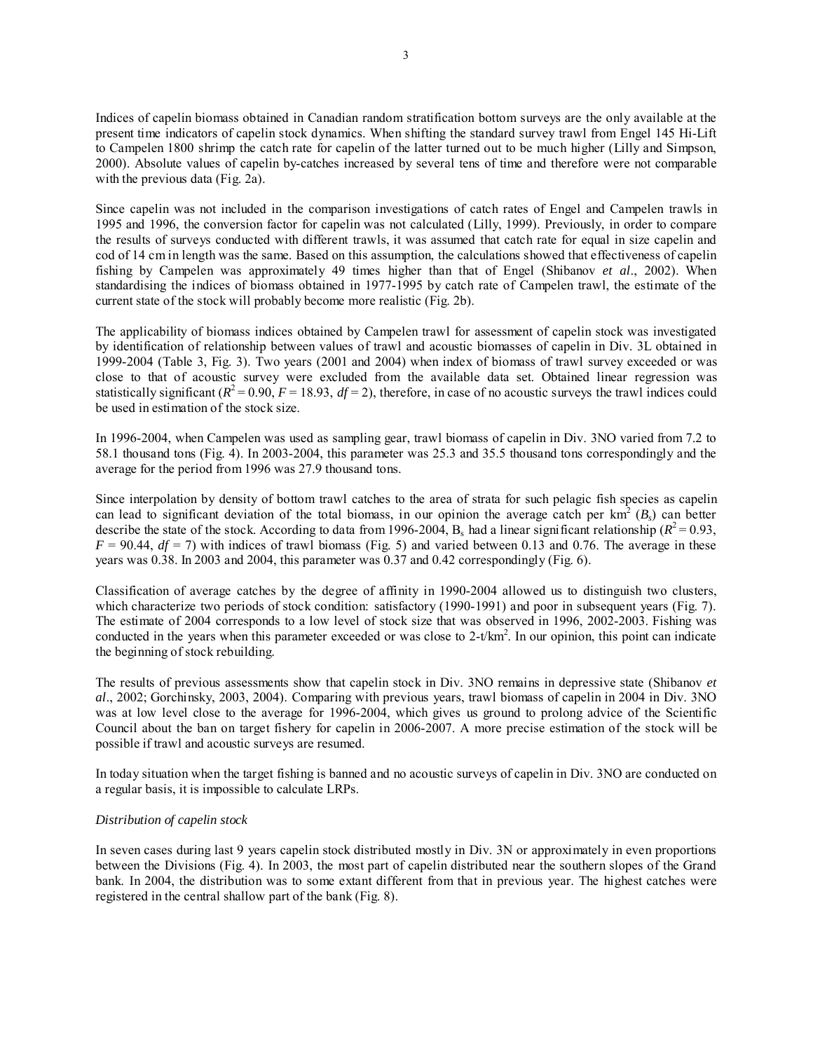Indices of capelin biomass obtained in Canadian random stratification bottom surveys are the only available at the present time indicators of capelin stock dynamics. When shifting the standard survey trawl from Engel 145 Hi-Lift to Campelen 1800 shrimp the catch rate for capelin of the latter turned out to be much higher (Lilly and Simpson, 2000). Absolute values of capelin by-catches increased by several tens of time and therefore were not comparable with the previous data (Fig. 2a).

Since capelin was not included in the comparison investigations of catch rates of Engel and Campelen trawls in 1995 and 1996, the conversion factor for capelin was not calculated (Lilly, 1999). Previously, in order to compare the results of surveys conducted with different trawls, it was assumed that catch rate for equal in size capelin and cod of 14 cm in length was the same. Based on this assumption, the calculations showed that effectiveness of capelin fishing by Campelen was approximately 49 times higher than that of Engel (Shibanov *et al*., 2002). When standardising the indices of biomass obtained in 1977-1995 by catch rate of Campelen trawl, the estimate of the current state of the stock will probably become more realistic (Fig. 2b).

The applicability of biomass indices obtained by Campelen trawl for assessment of capelin stock was investigated by identification of relationship between values of trawl and acoustic biomasses of capelin in Div. 3L obtained in 1999-2004 (Table 3, Fig. 3). Two years (2001 and 2004) when index of biomass of trawl survey exceeded or was close to that of acoustic survey were excluded from the available data set. Obtained linear regression was statistically significant  $(R^2 = 0.90, F = 18.93, df = 2)$ , therefore, in case of no acoustic surveys the trawl indices could be used in estimation of the stock size.

In 1996-2004, when Campelen was used as sampling gear, trawl biomass of capelin in Div. 3NO varied from 7.2 to 58.1 thousand tons (Fig. 4). In 2003-2004, this parameter was 25.3 and 35.5 thousand tons correspondingly and the average for the period from 1996 was 27.9 thousand tons.

Since interpolation by density of bottom trawl catches to the area of strata for such pelagic fish species as capelin can lead to significant deviation of the total biomass, in our opinion the average catch per  $km^2(B_s)$  can better describe the state of the stock. According to data from 1996-2004, B<sub>s</sub> had a linear significant relationship ( $R^2$  = 0.93,  $F = 90.44$ ,  $df = 7$ ) with indices of trawl biomass (Fig. 5) and varied between 0.13 and 0.76. The average in these years was 0.38. In 2003 and 2004, this parameter was 0.37 and 0.42 correspondingly (Fig. 6).

Classification of average catches by the degree of affinity in 1990-2004 allowed us to distinguish two clusters, which characterize two periods of stock condition: satisfactory (1990-1991) and poor in subsequent years (Fig. 7). The estimate of 2004 corresponds to a low level of stock size that was observed in 1996, 2002-2003. Fishing was conducted in the years when this parameter exceeded or was close to  $2-t/km^2$ . In our opinion, this point can indicate the beginning of stock rebuilding.

The results of previous assessments show that capelin stock in Div. 3NO remains in depressive state (Shibanov *et al*., 2002; Gorchinsky, 2003, 2004). Comparing with previous years, trawl biomass of capelin in 2004 in Div. 3NO was at low level close to the average for 1996-2004, which gives us ground to prolong advice of the Scientific Council about the ban on target fishery for capelin in 2006-2007. A more precise estimation of the stock will be possible if trawl and acoustic surveys are resumed.

In today situation when the target fishing is banned and no acoustic surveys of capelin in Div. 3NO are conducted on a regular basis, it is impossible to calculate LRPs.

### *Distribution of capelin stock*

In seven cases during last 9 years capelin stock distributed mostly in Div. 3N or approximately in even proportions between the Divisions (Fig. 4). In 2003, the most part of capelin distributed near the southern slopes of the Grand bank. In 2004, the distribution was to some extant different from that in previous year. The highest catches were registered in the central shallow part of the bank (Fig. 8).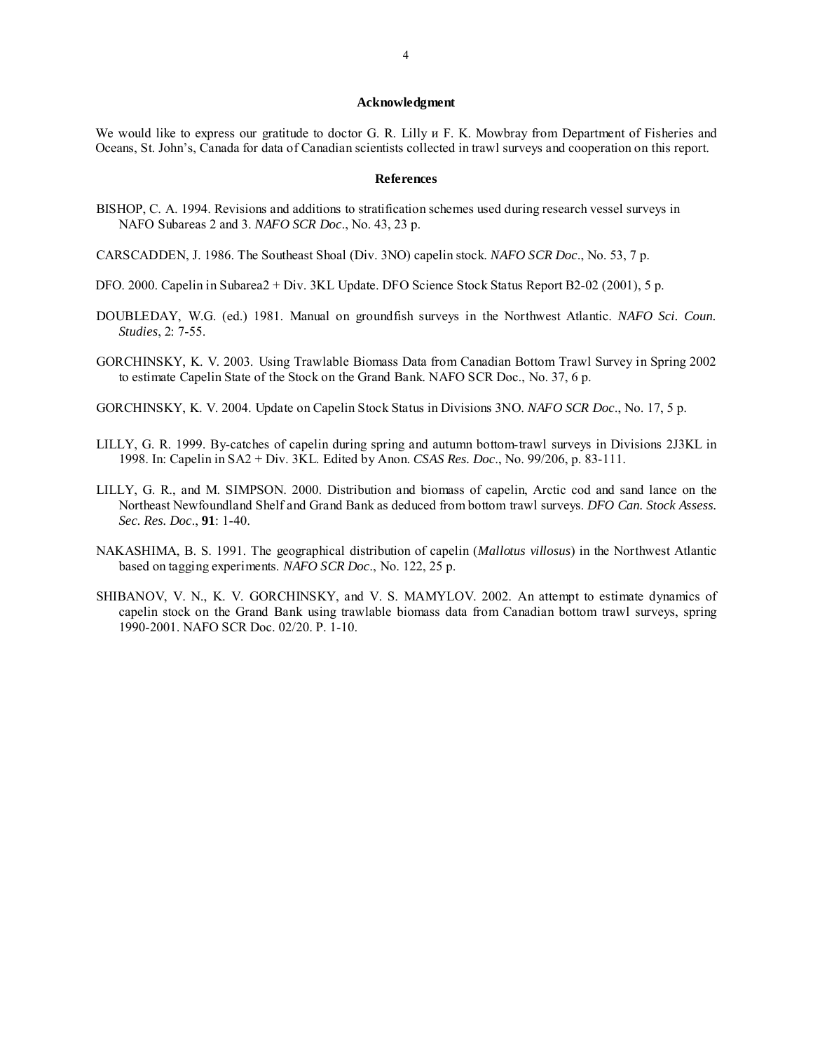#### **Acknowledgment**

We would like to express our gratitude to doctor G. R. Lilly  $\mu$  F. K. Mowbray from Department of Fisheries and Oceans, St. John's, Canada for data of Canadian scientists collected in trawl surveys and cooperation on this report.

#### **References**

- BISHOP, C. A. 1994. Revisions and additions to stratification schemes used during research vessel surveys in NAFO Subareas 2 and 3. *NAFO SCR Doc*., No. 43, 23 p.
- CARSCADDEN, J. 1986. The Southeast Shoal (Div. 3NO) capelin stock. *NAFO SCR Doc*., No. 53, 7 p.
- DFO. 2000. Capelin in Subarea2 + Div. 3KL Update. DFO Science Stock Status Report B2-02 (2001), 5 p.
- DOUBLEDAY, W.G. (ed.) 1981. Manual on groundfish surveys in the Northwest Atlantic. *NAFO Sci. Coun. Studies*, 2: 7-55.
- GORCHINSKY, K. V. 2003. Using Trawlable Biomass Data from Canadian Bottom Trawl Survey in Spring 2002 to estimate Capelin State of the Stock on the Grand Bank. NAFO SCR Doc., No. 37, 6 p.
- GORCHINSKY, K. V. 2004. Update on Capelin Stock Status in Divisions 3NO. *NAFO SCR Doc*., No. 17, 5 p.
- LILLY, G. R. 1999. By-catches of capelin during spring and autumn bottom-trawl surveys in Divisions 2J3KL in 1998. In: Capelin in SA2 + Div. 3KL. Edited by Anon. *CSAS Res. Doc*., No. 99/206, p. 83-111.
- LILLY, G. R., and M. SIMPSON. 2000. Distribution and biomass of capelin, Arctic cod and sand lance on the Northeast Newfoundland Shelf and Grand Bank as deduced from bottom trawl surveys. *DFO Can. Stock Assess. Sec. Res. Doc*., **91**: 1-40.
- NAKASHIMA, B. S. 1991. The geographical distribution of capelin (*Mallotus villosus*) in the Northwest Atlantic based on tagging experiments. *NAFO SCR Doc*., No. 122, 25 p.
- SHIBANOV, V. N., K. V. GORCHINSKY, and V. S. MAMYLOV. 2002. An attempt to estimate dynamics of capelin stock on the Grand Bank using trawlable biomass data from Canadian bottom trawl surveys, spring 1990-2001. NAFO SCR Doc. 02/20. P. 1-10.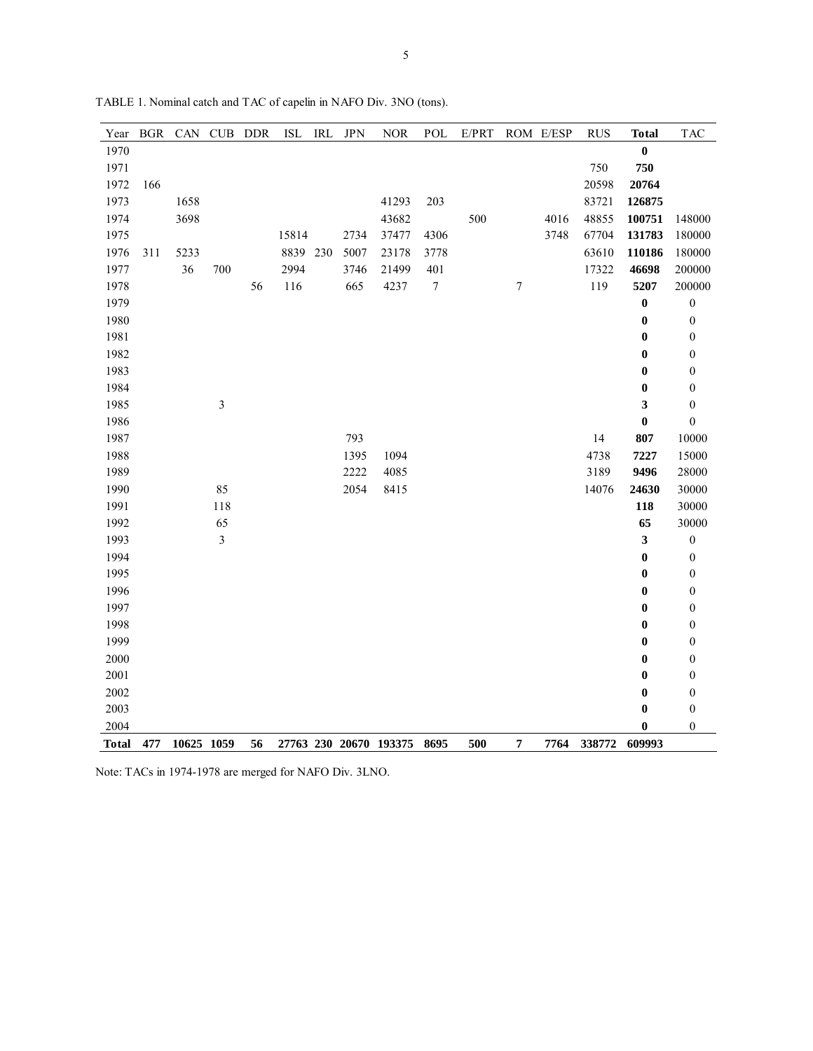| Year         | <b>BGR</b> | CAN        | CUB            | <b>DDR</b> | $\operatorname{ISL}$ | IRL | <b>JPN</b> | $\rm{NOR}$             | POL              | E/PRT |           | ROM E/ESP | <b>RUS</b> | <b>Total</b>     | <b>TAC</b>       |
|--------------|------------|------------|----------------|------------|----------------------|-----|------------|------------------------|------------------|-------|-----------|-----------|------------|------------------|------------------|
| 1970         |            |            |                |            |                      |     |            |                        |                  |       |           |           |            | $\bf{0}$         |                  |
| 1971         |            |            |                |            |                      |     |            |                        |                  |       |           |           | 750        | 750              |                  |
| 1972         | 166        |            |                |            |                      |     |            |                        |                  |       |           |           | 20598      | 20764            |                  |
| 1973         |            | 1658       |                |            |                      |     |            | 41293                  | 203              |       |           |           | 83721      | 126875           |                  |
| 1974         |            | 3698       |                |            |                      |     |            | 43682                  |                  | 500   |           | 4016      | 48855      | 100751           | 148000           |
| 1975         |            |            |                |            | 15814                |     | 2734       | 37477                  | 4306             |       |           | 3748      | 67704      | 131783           | 180000           |
| 1976         | 311        | 5233       |                |            | 8839                 | 230 | 5007       | 23178                  | 3778             |       |           |           | 63610      | 110186           | 180000           |
| 1977         |            | 36         | 700            |            | 2994                 |     | 3746       | 21499                  | 401              |       |           |           | 17322      | 46698            | 200000           |
| 1978         |            |            |                | 56         | 116                  |     | 665        | 4237                   | $\boldsymbol{7}$ |       | $\tau$    |           | 119        | 5207             | 200000           |
| 1979         |            |            |                |            |                      |     |            |                        |                  |       |           |           |            | $\boldsymbol{0}$ | $\boldsymbol{0}$ |
| 1980         |            |            |                |            |                      |     |            |                        |                  |       |           |           |            | $\boldsymbol{0}$ | $\boldsymbol{0}$ |
| 1981         |            |            |                |            |                      |     |            |                        |                  |       |           |           |            | $\bf{0}$         | $\boldsymbol{0}$ |
| 1982         |            |            |                |            |                      |     |            |                        |                  |       |           |           |            | $\bf{0}$         | $\boldsymbol{0}$ |
| 1983         |            |            |                |            |                      |     |            |                        |                  |       |           |           |            | $\bf{0}$         | $\boldsymbol{0}$ |
| 1984         |            |            |                |            |                      |     |            |                        |                  |       |           |           |            | $\bf{0}$         | $\boldsymbol{0}$ |
| 1985         |            |            | $\mathfrak{Z}$ |            |                      |     |            |                        |                  |       |           |           |            | 3                | $\boldsymbol{0}$ |
| 1986         |            |            |                |            |                      |     |            |                        |                  |       |           |           |            | $\bf{0}$         | $\boldsymbol{0}$ |
| 1987         |            |            |                |            |                      |     | 793        |                        |                  |       |           |           | 14         | 807              | 10000            |
| 1988         |            |            |                |            |                      |     | 1395       | 1094                   |                  |       |           |           | 4738       | 7227             | 15000            |
| 1989         |            |            |                |            |                      |     | 2222       | 4085                   |                  |       |           |           | 3189       | 9496             | 28000            |
| 1990         |            |            | 85             |            |                      |     | 2054       | 8415                   |                  |       |           |           | 14076      | 24630            | 30000            |
| 1991         |            |            | 118            |            |                      |     |            |                        |                  |       |           |           |            | 118              | 30000            |
| 1992         |            |            | 65             |            |                      |     |            |                        |                  |       |           |           |            | 65               | 30000            |
| 1993         |            |            | 3              |            |                      |     |            |                        |                  |       |           |           |            | 3                | $\boldsymbol{0}$ |
| 1994         |            |            |                |            |                      |     |            |                        |                  |       |           |           |            | $\boldsymbol{0}$ | $\boldsymbol{0}$ |
| 1995         |            |            |                |            |                      |     |            |                        |                  |       |           |           |            | $\bf{0}$         | $\boldsymbol{0}$ |
| 1996         |            |            |                |            |                      |     |            |                        |                  |       |           |           |            | $\bf{0}$         | $\boldsymbol{0}$ |
| 1997         |            |            |                |            |                      |     |            |                        |                  |       |           |           |            | $\bf{0}$         | $\boldsymbol{0}$ |
| 1998         |            |            |                |            |                      |     |            |                        |                  |       |           |           |            | $\bf{0}$         | $\boldsymbol{0}$ |
| 1999         |            |            |                |            |                      |     |            |                        |                  |       |           |           |            | $\bf{0}$         | $\boldsymbol{0}$ |
| 2000         |            |            |                |            |                      |     |            |                        |                  |       |           |           |            | $\bf{0}$         | $\boldsymbol{0}$ |
| 2001         |            |            |                |            |                      |     |            |                        |                  |       |           |           |            | $\bf{0}$         | $\boldsymbol{0}$ |
| 2002         |            |            |                |            |                      |     |            |                        |                  |       |           |           |            | $\bf{0}$         | $\boldsymbol{0}$ |
| 2003         |            |            |                |            |                      |     |            |                        |                  |       |           |           |            | $\bf{0}$         | $\boldsymbol{0}$ |
| 2004         |            |            |                |            |                      |     |            |                        |                  |       |           |           |            | 0                | $\boldsymbol{0}$ |
| <b>Total</b> | 477        | 10625 1059 |                | 56         |                      |     |            | 27763 230 20670 193375 | 8695             | 500   | $\pmb{7}$ | 7764      | 338772     | 609993           |                  |

TABLE 1. Nominal catch and TAC of capelin in NAFO Div. 3NO (tons).

Note: TACs in 1974-1978 are merged for NAFO Div. 3LNO.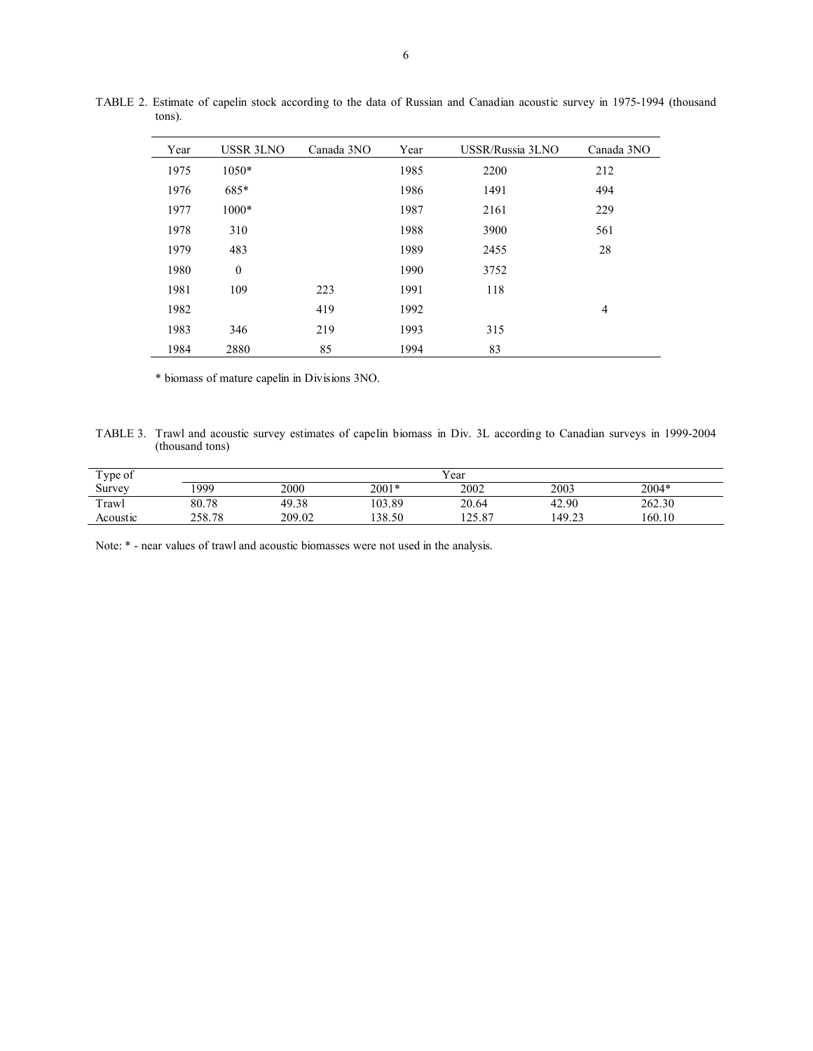| Year | <b>USSR 3LNO</b> | Canada 3NO | Year | USSR/Russia 3LNO | Canada 3NO     |
|------|------------------|------------|------|------------------|----------------|
| 1975 | $1050*$          |            | 1985 | 2200             | 212            |
| 1976 | 685*             |            | 1986 | 1491             | 494            |
| 1977 | 1000*            |            | 1987 | 2161             | 229            |
| 1978 | 310              |            | 1988 | 3900             | 561            |
| 1979 | 483              |            | 1989 | 2455             | 28             |
| 1980 | $\theta$         |            | 1990 | 3752             |                |
| 1981 | 109              | 223        | 1991 | 118              |                |
| 1982 |                  | 419        | 1992 |                  | $\overline{4}$ |
| 1983 | 346              | 219        | 1993 | 315              |                |
| 1984 | 2880             | 85         | 1994 | 83               |                |

TABLE 2. Estimate of capelin stock according to the data of Russian and Canadian acoustic survey in 1975-1994 (thousand tons).

\* biomass of mature capelin in Divisions 3NO.

TABLE 3. Trawl and acoustic survey estimates of capelin biomass in Div. 3L according to Canadian surveys in 1999-2004 (thousand tons)

| Type of  | Year   |        |         |        |        |         |  |  |  |
|----------|--------|--------|---------|--------|--------|---------|--|--|--|
| Survey   | 1999   | 2000   | $2001*$ | 2002   | 2003   | $2004*$ |  |  |  |
| Trawl    | 80.78  | 49.38  | 103.89  | 20.64  | 42.90  | 262.30  |  |  |  |
| Acoustic | 258.78 | 209.02 | 38.50   | 125.87 | 149.23 | 160.10  |  |  |  |

Note: \* - near values of trawl and acoustic biomasses were not used in the analysis.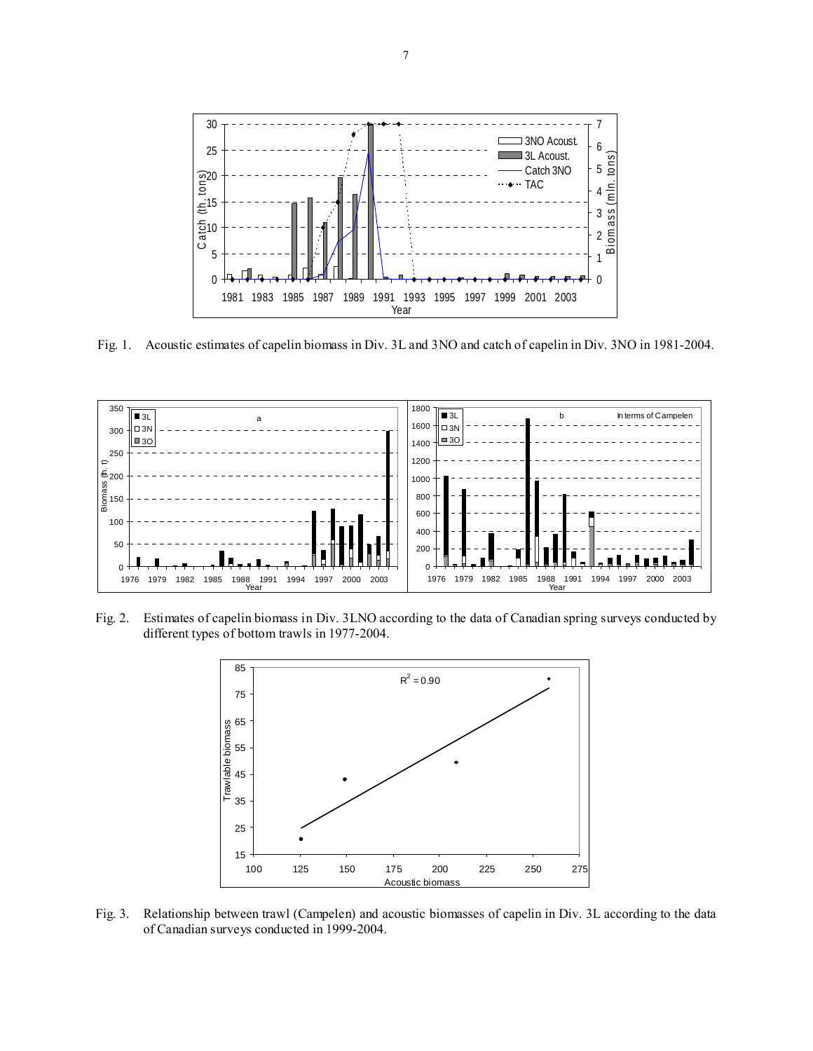

Fig. 1. Acoustic estimates of capelin biomass in Div. 3L and 3NO and catch of capelin in Div. 3NO in 1981-2004.



Fig. 2. Estimates of capelin biomass in Div. 3LNO according to the data of Canadian spring surveys conducted by different types of bottom trawls in 1977-2004.



Fig. 3. Relationship between trawl (Campelen) and acoustic biomasses of capelin in Div. 3L according to the data of Canadian surveys conducted in 1999-2004.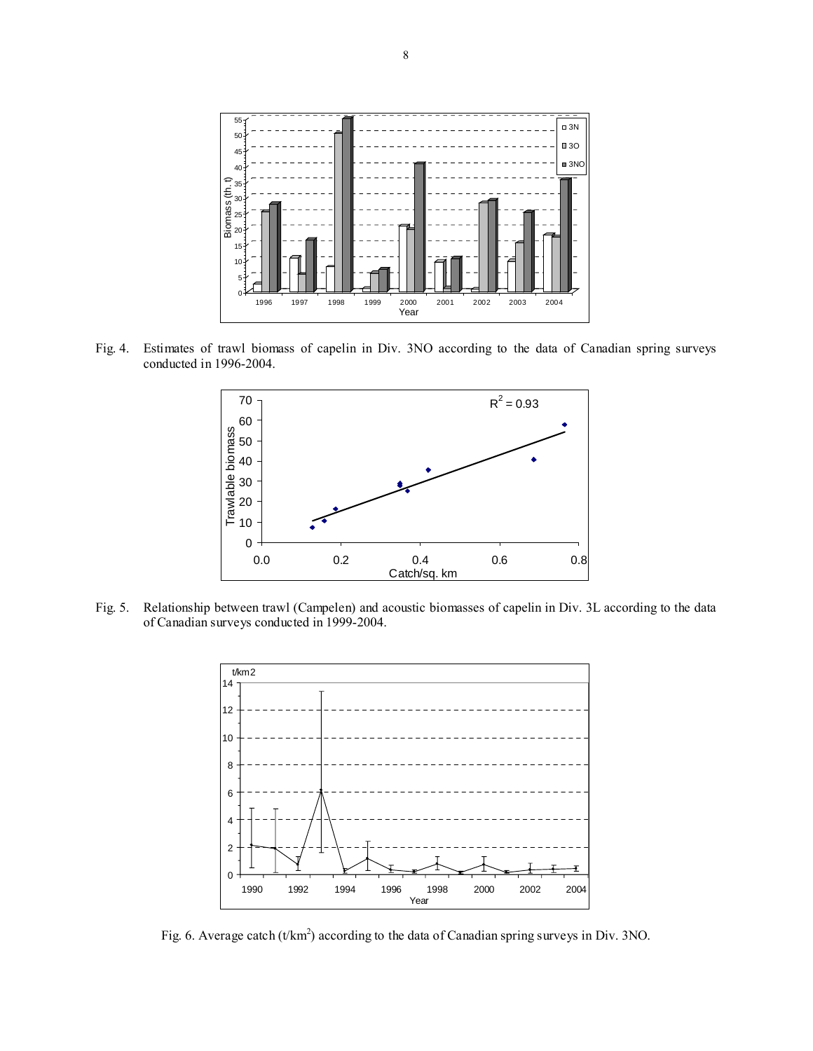

Fig. 4. Estimates of trawl biomass of capelin in Div. 3NO according to the data of Canadian spring surveys conducted in 1996-2004.



Fig. 5. Relationship between trawl (Campelen) and acoustic biomasses of capelin in Div. 3L according to the data of Canadian surveys conducted in 1999-2004.



Fig. 6. Average catch ( $t/km<sup>2</sup>$ ) according to the data of Canadian spring surveys in Div. 3NO.